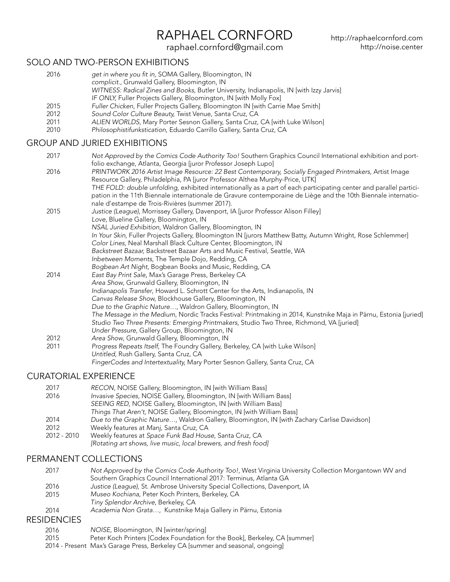# RAPHAEL CORNFORD

[raphael.cornford@gmail.com](mailto:raphael.cornford%40gmail.com?subject=)

### SOLO AND TWO-PERSON EXHIBITIONS

2016 2015 2012 2011 2010 get in where you fit in, SOMA Gallery, Bloomington, IN complicit., Grunwald Gallery, Bloomington, IN WITNESS: Radical Zines and Books, Butler University, Indianapolis, IN [with Izzy Jarvis] IF ONLY, Fuller Projects Gallery, Bloomington, IN [with Molly Fox] Fuller Chicken, Fuller Projects Gallery, Bloomington IN [with Carrie Mae Smith] Sound Color Culture Beauty, Twist Venue, Santa Cruz, CA *ALIEN WORLDS*, Mary Porter Sesnon Gallery, Santa Cruz, CA [with Luke Wilson] *Philosophistifunkstication*, Eduardo Carrillo Gallery, Santa Cruz, CA

### GROUP AND JURIED EXHIBITIONS

| 2017 | Not Approved by the Comics Code Authority Too! Southern Graphics Council International exhibition and port-                                                       |
|------|-------------------------------------------------------------------------------------------------------------------------------------------------------------------|
|      | folio exchange, Atlanta, Georgia [juror Professor Joseph Lupo]                                                                                                    |
| 2016 | PRINTWORK 2016 Artist Image Resource: 22 Best Contemporary, Socially Engaged Printmakers, Artist Image                                                            |
|      | Resource Gallery, Philadelphia, PA [juror Professor Althea Murphy-Price, UTK]                                                                                     |
|      | THE FOLD: double unfolding, exhibited internationally as a part of each participating center and parallel partici-                                                |
|      | pation in the 11th Biennale internationale de Gravure contemporaine de Liège and the 10th Biennale internatio-<br>nale d'estampe de Trois-Rivières (summer 2017). |
| 2015 | Justice (League), Morrissey Gallery, Davenport, IA [juror Professor Alison Filley]                                                                                |
|      | Love, Blueline Gallery, Bloomington, IN                                                                                                                           |
|      | NSAL Juried Exhibition, Waldron Gallery, Bloomington, IN                                                                                                          |
|      | In Your Skin, Fuller Projects Gallery, Bloomington IN [jurors Matthew Batty, Autumn Wright, Rose Schlemmer]                                                       |
|      | Color Lines, Neal Marshall Black Culture Center, Bloomington, IN                                                                                                  |
|      | Backstreet Bazaar, Backstreet Bazaar Arts and Music Festival, Seattle, WA                                                                                         |
|      | Inbetween Moments, The Temple Dojo, Redding, CA                                                                                                                   |
|      | Bogbean Art Night, Bogbean Books and Music, Redding, CA                                                                                                           |
| 2014 | East Bay Print Sale, Max's Garage Press, Berkeley CA                                                                                                              |
|      | Area Show, Grunwald Gallery, Bloomington, IN                                                                                                                      |
|      | Indianapolis Transfer, Howard L. Schrott Center for the Arts, Indianapolis, IN                                                                                    |
|      | Canvas Release Show, Blockhouse Gallery, Bloomington, IN                                                                                                          |
|      | Due to the Graphic Nature, Waldron Gallery, Bloomington, IN                                                                                                       |
|      | The Message in the Medium, Nordic Tracks Festival: Printmaking in 2014, Kunstnike Maja in Pärnu, Estonia [juried]                                                 |
|      | Studio Two Three Presents: Emerging Printmakers, Studio Two Three, Richmond, VA [juried]                                                                          |
|      | Under Pressure, Gallery Group, Bloomington, IN                                                                                                                    |
| 2012 | Area Show, Grunwald Gallery, Bloomington, IN                                                                                                                      |
| 2011 | Progress Repeats Itself, The Foundry Gallery, Berkeley, CA [with Luke Wilson]                                                                                     |
|      | Untitled, Rush Gallery, Santa Cruz, CA                                                                                                                            |
|      | FingerCodes and Intertextuality, Mary Porter Sesnon Gallery, Santa Cruz, CA                                                                                       |

### CURATORIAL EXPERIENCE

| 2017        | RECON, NOISE Gallery, Bloomington, IN [with William Bass]                                   |
|-------------|---------------------------------------------------------------------------------------------|
| 2016        | Invasive Species, NOISE Gallery, Bloomington, IN [with William Bass]                        |
|             | SEEING RED, NOISE Gallery, Bloomington, IN [with William Bass]                              |
|             | Things That Aren't, NOISE Gallery, Bloomington, IN [with William Bass]                      |
| 2014        | Due to the Graphic Nature, Waldron Gallery, Bloomington, IN [with Zachary Carlise Davidson] |
| 2012        | Weekly features at Manj, Santa Cruz, CA                                                     |
| 2012 - 2010 | Weekly features at Space Funk Bad House, Santa Cruz, CA                                     |
|             | [Rotating art shows, live music, local brewers, and fresh food]                             |

### PERMANENT COLLECTIONS

RES

| 2017            | Not Approved by the Comics Code Authority Too!, West Virginia University Collection Morgantown WV and |
|-----------------|-------------------------------------------------------------------------------------------------------|
|                 | Southern Graphics Council International 2017: Terminus, Atlanta GA                                    |
| 2016            | Justice (League), St. Ambrose University Special Collections, Davenport, IA                           |
| 2015            | Museo Kochiana, Peter Koch Printers, Berkeley, CA                                                     |
|                 | Tiny Splendor Archive, Berkeley, CA                                                                   |
| 2014            | Academia Non Grata, Kunstnike Maja Gallery in Pärnu, Estonia                                          |
| <b>IDENCIES</b> |                                                                                                       |
|                 |                                                                                                       |

- 2016 *NOISE*, Bloomington, IN [winter/spring]
- 2015 Peter Koch Printers [Codex Foundation for the Book], Berkeley, CA [summer]
- 2014 Present Max's Garage Press, Berkeley CA [summer and seasonal, ongoing]